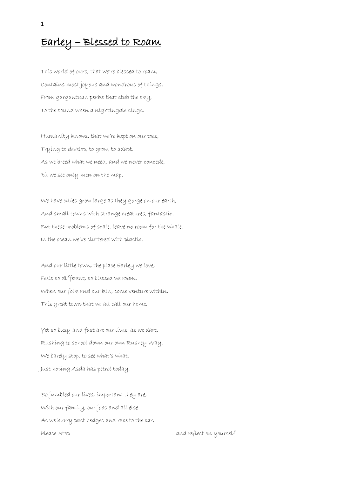## Earley – Blessed to Roam

This world of ours, that we're blessed to roam, Contains most joyous and wondrous of things. From gargantuan peaks that stab the sky, To the sound when a nightingale sings.

Humanity knows, that we're kept on our toes, Trying to develop, to grow, to adapt. As we breed what we need, and we never concede, 'til we see only men on the map.

We have cities grow large as they gorge on our earth, And small towns with strange creatures, fantastic. But these problems of scale, leave no room for the whale, In the ocean we've cluttered with plastic.

And our little town, the place Earley we love, Feels so different, so blessed we roam. When our folk and our kin, come venture within, This great town that we all call our home.

Yet so busy and fast are our lives, as we dart, Rushing to school down our own Rushey Way. We barely stop, to see what's what, Just hoping Asda has petrol today.

So jumbled our lives, important they are, With our family, our jobs and all else. As we hurry past hedges and race to the car, Please Stop and reflect on yourself.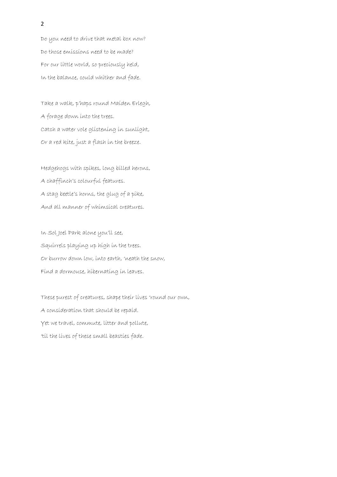Do you need to drive that metal box now? Do those emissions need to be made? For our little world, so preciously held, In the balance, could whither and fade.

Take a walk, p'haps round Maiden Erlegh, A forage down into the trees. Catch a water vole glistening in sunlight, Or a red kite, just a flash in the breeze.

Hedgehogs with spikes, long billed herons, A chaffinch's colourful features. A stag beetle's horns, the glug of a pike, And all manner of whimsical creatures.

In Sol Joel Park alone you'll see, Squirrels playing up high in the trees. Or burrow down low, into earth, 'neath the snow, Find a dormouse, hibernating in leaves.

These purest of creatures, shape their lives 'round our own, A consideration that should be repaid. Yet we travel, commute, litter and pollute, 'til the lives of these small beasties fade.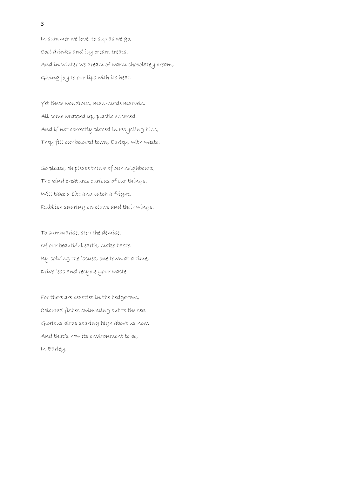In summer we love, to sup as we go, Cool drinks and icy cream treats. And in winter we dream of warm chocolatey cream, Giving joy to our lips with its heat.

Yet these wondrous, man-made marvels, All come wrapped up, plastic encased. And if not correctly placed in recycling bins, They fill our beloved town, Earley, with waste.

So please, oh please think of our neighbours, The kind creatures curious of our things. Will take a bite and catch a fright, Rubbish snaring on claws and their wings.

To summarise, stop the demise, Of our beautiful earth, make haste. By solving the issues, one town at a time, Drive less and recycle your waste.

For there are beasties in the hedgerows, Coloured fishes swimming out to the sea. Glorious birds soaring high above us now, And that's how its environment to be, In Earley.